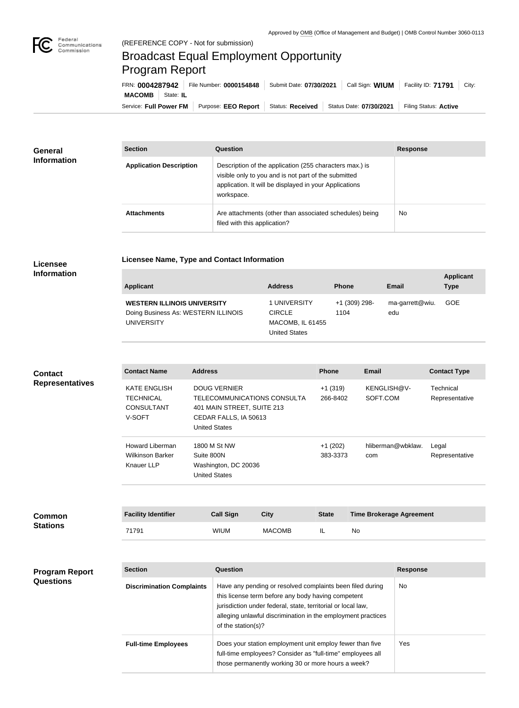

**COL** 

## Broadcast Equal Employment Opportunity Program Report

**Licensee Name, Type and Contact Information**

| FRN: 0004287942        |           | File Number: 0000154848 | Submit Date: 07/30/2021 | Call Sign: WIUM         | Facility ID: 71791    | City: |
|------------------------|-----------|-------------------------|-------------------------|-------------------------|-----------------------|-------|
| <b>MACOMB</b>          | State: IL |                         |                         |                         |                       |       |
| Service: Full Power FM |           | Purpose: EEO Report     | Status: Received        | Status Date: 07/30/2021 | Filing Status: Active |       |

| <b>General</b><br><b>Information</b> | <b>Section</b>                 | <b>Question</b>                                                                                                                                                                         | <b>Response</b> |
|--------------------------------------|--------------------------------|-----------------------------------------------------------------------------------------------------------------------------------------------------------------------------------------|-----------------|
|                                      | <b>Application Description</b> | Description of the application (255 characters max.) is<br>visible only to you and is not part of the submitted<br>application. It will be displayed in your Applications<br>workspace. |                 |
|                                      | <b>Attachments</b>             | Are attachments (other than associated schedules) being<br>filed with this application?                                                                                                 | <b>No</b>       |

## **Licensee Information**

| <b>Applicant</b>                                                                               | <b>Address</b>                                                     | <b>Phone</b>          | <b>Email</b>           | <b>Applicant</b><br><b>Type</b> |
|------------------------------------------------------------------------------------------------|--------------------------------------------------------------------|-----------------------|------------------------|---------------------------------|
| <b>WESTERN ILLINOIS UNIVERSITY</b><br>Doing Business As: WESTERN ILLINOIS<br><b>UNIVERSITY</b> | 1 UNIVERSITY<br><b>CIRCLE</b><br>MACOMB, IL 61455<br>United States | +1 (309) 298-<br>1104 | ma-garrett@wiu.<br>edu | GOE                             |

| <b>Contact</b>         | <b>Contact Name</b>                                             | <b>Address</b>                                                                                                                    |               | <b>Phone</b>          | <b>Email</b>                    | <b>Contact Type</b>         |
|------------------------|-----------------------------------------------------------------|-----------------------------------------------------------------------------------------------------------------------------------|---------------|-----------------------|---------------------------------|-----------------------------|
| <b>Representatives</b> | <b>KATE ENGLISH</b><br>TECHNICAL<br><b>CONSULTANT</b><br>V-SOFT | <b>DOUG VERNIER</b><br>TELECOMMUNICATIONS CONSULTA<br>401 MAIN STREET, SUITE 213<br>CEDAR FALLS, IA 50613<br><b>United States</b> |               | $+1(319)$<br>266-8402 | KENGLISH@V-<br>SOFT.COM         | Technical<br>Representative |
|                        | Howard Liberman<br><b>Wilkinson Barker</b><br><b>Knauer LLP</b> | 1800 M St NW<br>Suite 800N<br>Washington, DC 20036<br><b>United States</b>                                                        |               | $+1(202)$<br>383-3373 | hliberman@wbklaw.<br>com        | Legal<br>Representative     |
|                        |                                                                 |                                                                                                                                   |               |                       |                                 |                             |
| <b>Common</b>          | <b>Facility Identifier</b>                                      | <b>Call Sign</b>                                                                                                                  | <b>City</b>   | <b>State</b>          | <b>Time Brokerage Agreement</b> |                             |
| <b>Stations</b>        | 71791                                                           | <b>WIUM</b>                                                                                                                       | <b>MACOMB</b> | IL                    | <b>No</b>                       |                             |

## **Program Report Questions**

| <b>Section</b>                   | Question                                                                                                                                                                                                                                                              | <b>Response</b> |
|----------------------------------|-----------------------------------------------------------------------------------------------------------------------------------------------------------------------------------------------------------------------------------------------------------------------|-----------------|
| <b>Discrimination Complaints</b> | Have any pending or resolved complaints been filed during<br>this license term before any body having competent<br>jurisdiction under federal, state, territorial or local law,<br>alleging unlawful discrimination in the employment practices<br>of the station(s)? | No.             |
| <b>Full-time Employees</b>       | Does your station employment unit employ fewer than five<br>full-time employees? Consider as "full-time" employees all<br>those permanently working 30 or more hours a week?                                                                                          | Yes             |